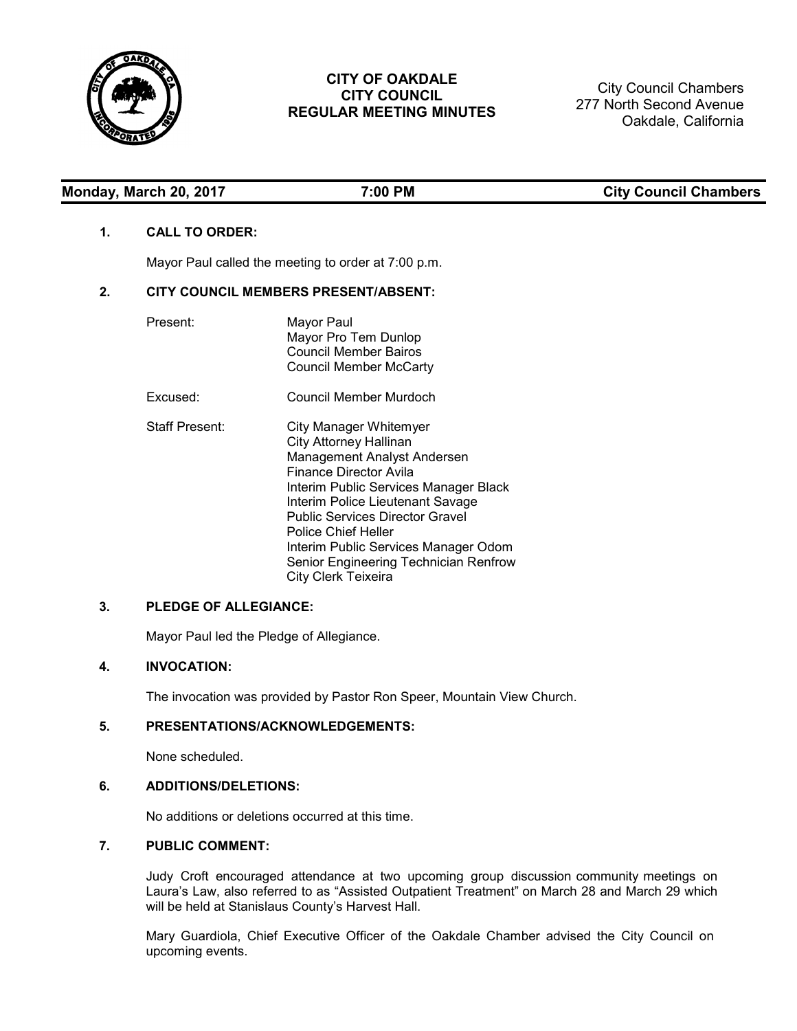

# **CITY OF OAKDALE CITY COUNCIL REGULAR MEETING MINUTES**

City Council Chambers 277 North Second Avenue Oakdale, California

# Monday, March 20, 2017 **7:00 PM** 7:00 PM City Council Chambers

# **1. CALL TO ORDER:**

Mayor Paul called the meeting to order at 7:00 p.m.

# **2. CITY COUNCIL MEMBERS PRESENT/ABSENT:**

| Present:              | Mayor Paul<br>Mayor Pro Tem Dunlop<br><b>Council Member Bairos</b><br><b>Council Member McCarty</b>                                                                                                                                                                                                                                                             |
|-----------------------|-----------------------------------------------------------------------------------------------------------------------------------------------------------------------------------------------------------------------------------------------------------------------------------------------------------------------------------------------------------------|
| Excused:              | Council Member Murdoch                                                                                                                                                                                                                                                                                                                                          |
| <b>Staff Present:</b> | City Manager Whitemyer<br><b>City Attorney Hallinan</b><br>Management Analyst Andersen<br>Finance Director Avila<br>Interim Public Services Manager Black<br>Interim Police Lieutenant Savage<br>Public Services Director Gravel<br>Police Chief Heller<br>Interim Public Services Manager Odom<br>Senior Engineering Technician Renfrow<br>City Clerk Teixeira |

# **3. PLEDGE OF ALLEGIANCE:**

Mayor Paul led the Pledge of Allegiance.

# **4. INVOCATION:**

The invocation was provided by Pastor Ron Speer, Mountain View Church.

# **5. PRESENTATIONS/ACKNOWLEDGEMENTS:**

None scheduled.

## **6. ADDITIONS/DELETIONS:**

No additions or deletions occurred at this time.

# **7. PUBLIC COMMENT:**

Judy Croft encouraged attendance at two upcoming group discussion community meetings on Laura's Law, also referred to as "Assisted Outpatient Treatment" on March 28 and March 29 which will be held at Stanislaus County's Harvest Hall.

Mary Guardiola, Chief Executive Officer of the Oakdale Chamber advised the City Council on upcoming events.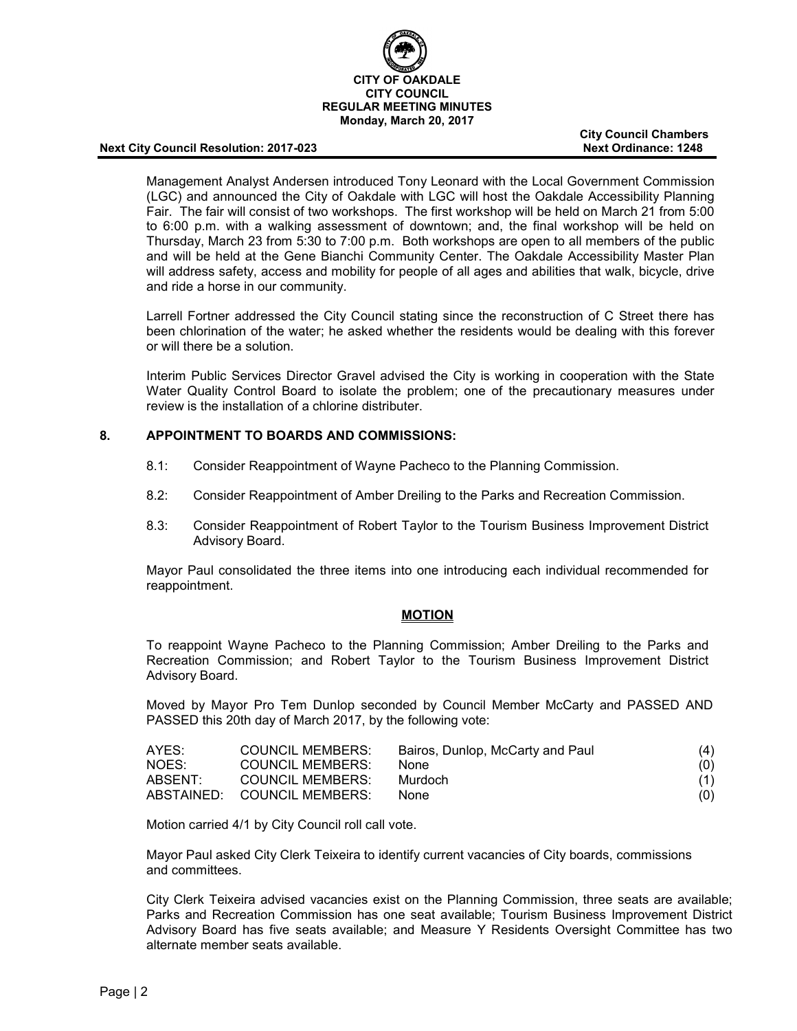

**City Council Chambers**

Management Analyst Andersen introduced Tony Leonard with the Local Government Commission (LGC) and announced the City of Oakdale with LGC will host the Oakdale Accessibility Planning Fair. The fair will consist of two workshops. The first workshop will be held on March 21 from 5:00 to 6:00 p.m. with a walking assessment of downtown; and, the final workshop will be held on Thursday, March 23 from 5:30 to 7:00 p.m. Both workshops are open to all members of the public and will be held at the Gene Bianchi Community Center. The Oakdale Accessibility Master Plan will address safety, access and mobility for people of all ages and abilities that walk, bicycle, drive and ride a horse in our community.

Larrell Fortner addressed the City Council stating since the reconstruction of C Street there has been chlorination of the water; he asked whether the residents would be dealing with this forever or will there be a solution.

Interim Public Services Director Gravel advised the City is working in cooperation with the State Water Quality Control Board to isolate the problem; one of the precautionary measures under review is the installation of a chlorine distributer.

## **8. APPOINTMENT TO BOARDS AND COMMISSIONS:**

- 8.1: Consider Reappointment of Wayne Pacheco to the Planning Commission.
- 8.2: Consider Reappointment of Amber Dreiling to the Parks and Recreation Commission.
- 8.3: Consider Reappointment of Robert Taylor to the Tourism Business Improvement District Advisory Board.

Mayor Paul consolidated the three items into one introducing each individual recommended for reappointment.

#### **MOTION**

To reappoint Wayne Pacheco to the Planning Commission; Amber Dreiling to the Parks and Recreation Commission; and Robert Taylor to the Tourism Business Improvement District Advisory Board.

Moved by Mayor Pro Tem Dunlop seconded by Council Member McCarty and PASSED AND PASSED this 20th day of March 2017, by the following vote:

| AYES:   | <b>COUNCIL MEMBERS:</b>     | Bairos, Dunlop, McCarty and Paul | (4) |
|---------|-----------------------------|----------------------------------|-----|
| NOES:   | COUNCIL MEMBERS:            | <b>None</b>                      | (0) |
| ABSENT: | <b>COUNCIL MEMBERS:</b>     | Murdoch                          | (1) |
|         | ABSTAINED: COUNCIL MEMBERS: | <b>None</b>                      | (0) |

Motion carried 4/1 by City Council roll call vote.

Mayor Paul asked City Clerk Teixeira to identify current vacancies of City boards, commissions and committees.

City Clerk Teixeira advised vacancies exist on the Planning Commission, three seats are available; Parks and Recreation Commission has one seat available; Tourism Business Improvement District Advisory Board has five seats available; and Measure Y Residents Oversight Committee has two alternate member seats available.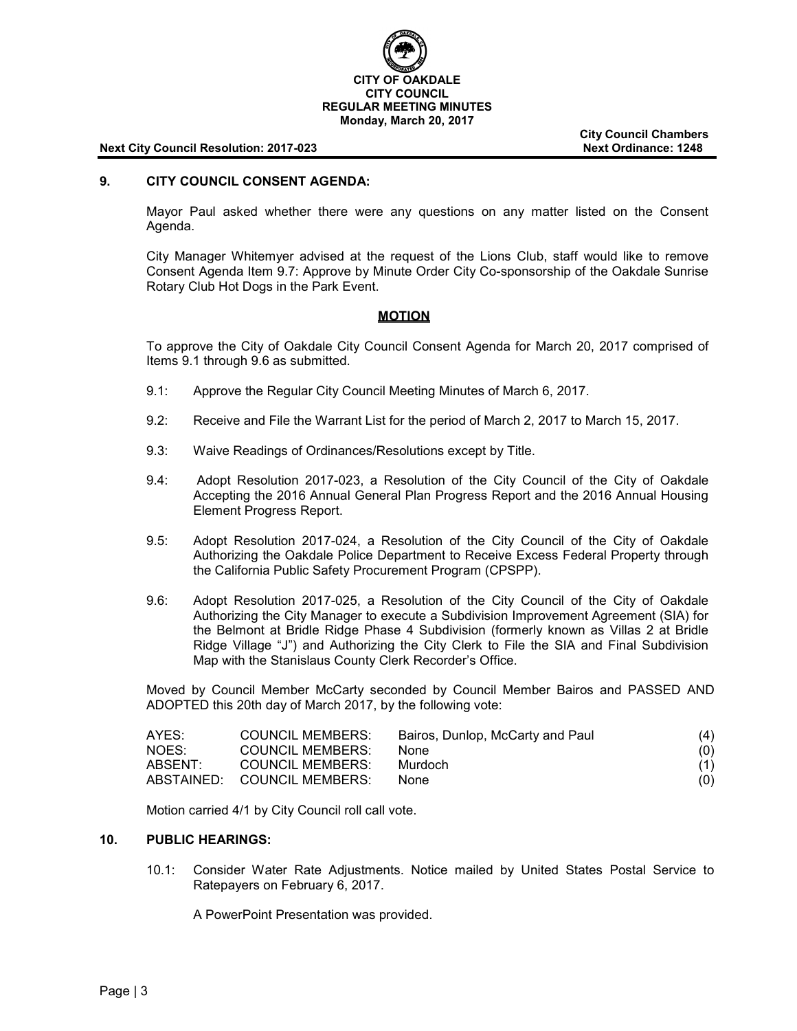

**City Council Chambers**

### **9. CITY COUNCIL CONSENT AGENDA:**

Mayor Paul asked whether there were any questions on any matter listed on the Consent Agenda.

City Manager Whitemyer advised at the request of the Lions Club, staff would like to remove Consent Agenda Item 9.7: Approve by Minute Order City Co-sponsorship of the Oakdale Sunrise Rotary Club Hot Dogs in the Park Event.

#### **MOTION**

To approve the City of Oakdale City Council Consent Agenda for March 20, 2017 comprised of Items 9.1 through 9.6 as submitted.

- 9.1: Approve the Regular City Council Meeting Minutes of March 6, 2017.
- 9.2: Receive and File the Warrant List for the period of March 2, 2017 to March 15, 2017.
- 9.3: Waive Readings of Ordinances/Resolutions except by Title.
- 9.4: Adopt Resolution 2017-023, a Resolution of the City Council of the City of Oakdale Accepting the 2016 Annual General Plan Progress Report and the 2016 Annual Housing Element Progress Report.
- 9.5: Adopt Resolution 2017-024, a Resolution of the City Council of the City of Oakdale Authorizing the Oakdale Police Department to Receive Excess Federal Property through the California Public Safety Procurement Program (CPSPP).
- 9.6: Adopt Resolution 2017-025, a Resolution of the City Council of the City of Oakdale Authorizing the City Manager to execute a Subdivision Improvement Agreement (SIA) for the Belmont at Bridle Ridge Phase 4 Subdivision (formerly known as Villas 2 at Bridle Ridge Village "J") and Authorizing the City Clerk to File the SIA and Final Subdivision Map with the Stanislaus County Clerk Recorder's Office.

Moved by Council Member McCarty seconded by Council Member Bairos and PASSED AND ADOPTED this 20th day of March 2017, by the following vote:

| AYES:   | <b>COUNCIL MEMBERS:</b>     | Bairos, Dunlop, McCarty and Paul | (4) |
|---------|-----------------------------|----------------------------------|-----|
| NOES:   | <b>COUNCIL MEMBERS:</b>     | None.                            | (0) |
| ABSENT: | <b>COUNCIL MEMBERS:</b>     | Murdoch                          | (1) |
|         | ABSTAINED: COUNCIL MEMBERS: | <b>None</b>                      | (0) |

Motion carried 4/1 by City Council roll call vote.

#### **10. PUBLIC HEARINGS:**

10.1: Consider Water Rate Adjustments. Notice mailed by United States Postal Service to Ratepayers on February 6, 2017.

A PowerPoint Presentation was provided.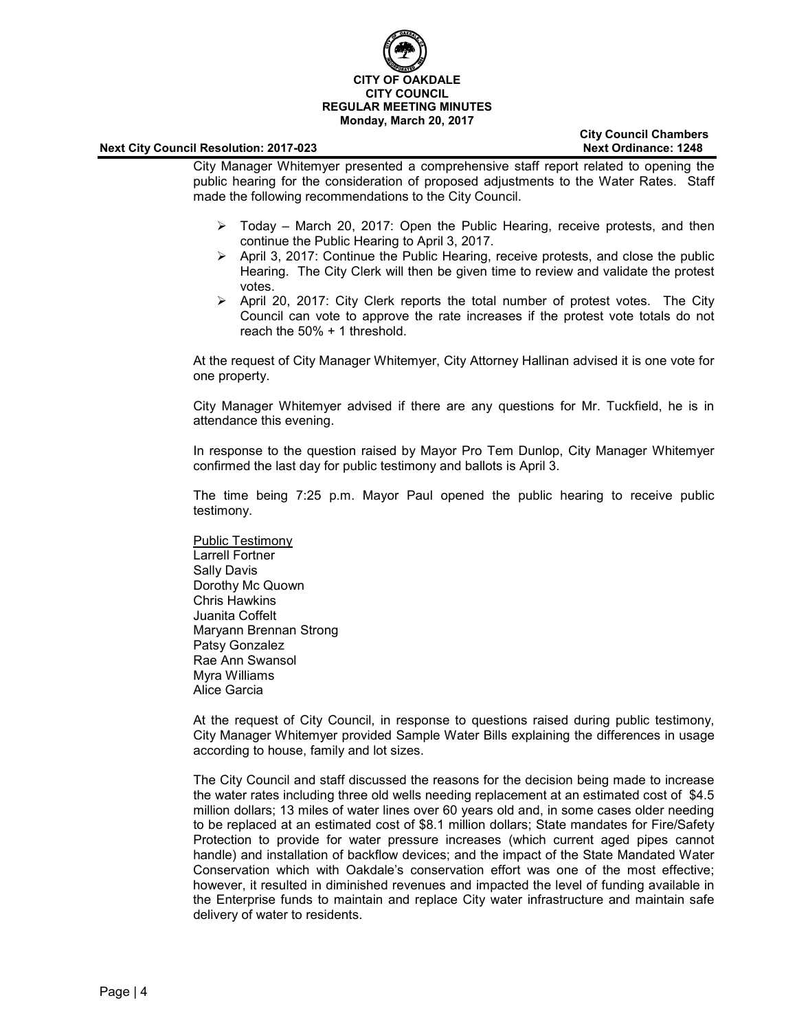

**City Council Chambers**

City Manager Whitemyer presented a comprehensive staff report related to opening the public hearing for the consideration of proposed adjustments to the Water Rates. Staff made the following recommendations to the City Council.

- $\triangleright$  Today March 20, 2017: Open the Public Hearing, receive protests, and then continue the Public Hearing to April 3, 2017.
- $\triangleright$  April 3, 2017: Continue the Public Hearing, receive protests, and close the public Hearing. The City Clerk will then be given time to review and validate the protest votes.
- $\triangleright$  April 20, 2017: City Clerk reports the total number of protest votes. The City Council can vote to approve the rate increases if the protest vote totals do not reach the 50% + 1 threshold.

At the request of City Manager Whitemyer, City Attorney Hallinan advised it is one vote for one property.

City Manager Whitemyer advised if there are any questions for Mr. Tuckfield, he is in attendance this evening.

In response to the question raised by Mayor Pro Tem Dunlop, City Manager Whitemyer confirmed the last day for public testimony and ballots is April 3.

The time being 7:25 p.m. Mayor Paul opened the public hearing to receive public testimony.

Public Testimony Larrell Fortner Sally Davis Dorothy Mc Quown Chris Hawkins Juanita Coffelt Maryann Brennan Strong Patsy Gonzalez Rae Ann Swansol Myra Williams Alice Garcia

At the request of City Council, in response to questions raised during public testimony, City Manager Whitemyer provided Sample Water Bills explaining the differences in usage according to house, family and lot sizes.

The City Council and staff discussed the reasons for the decision being made to increase the water rates including three old wells needing replacement at an estimated cost of \$4.5 million dollars; 13 miles of water lines over 60 years old and, in some cases older needing to be replaced at an estimated cost of \$8.1 million dollars; State mandates for Fire/Safety Protection to provide for water pressure increases (which current aged pipes cannot handle) and installation of backflow devices; and the impact of the State Mandated Water Conservation which with Oakdale's conservation effort was one of the most effective; however, it resulted in diminished revenues and impacted the level of funding available in the Enterprise funds to maintain and replace City water infrastructure and maintain safe delivery of water to residents.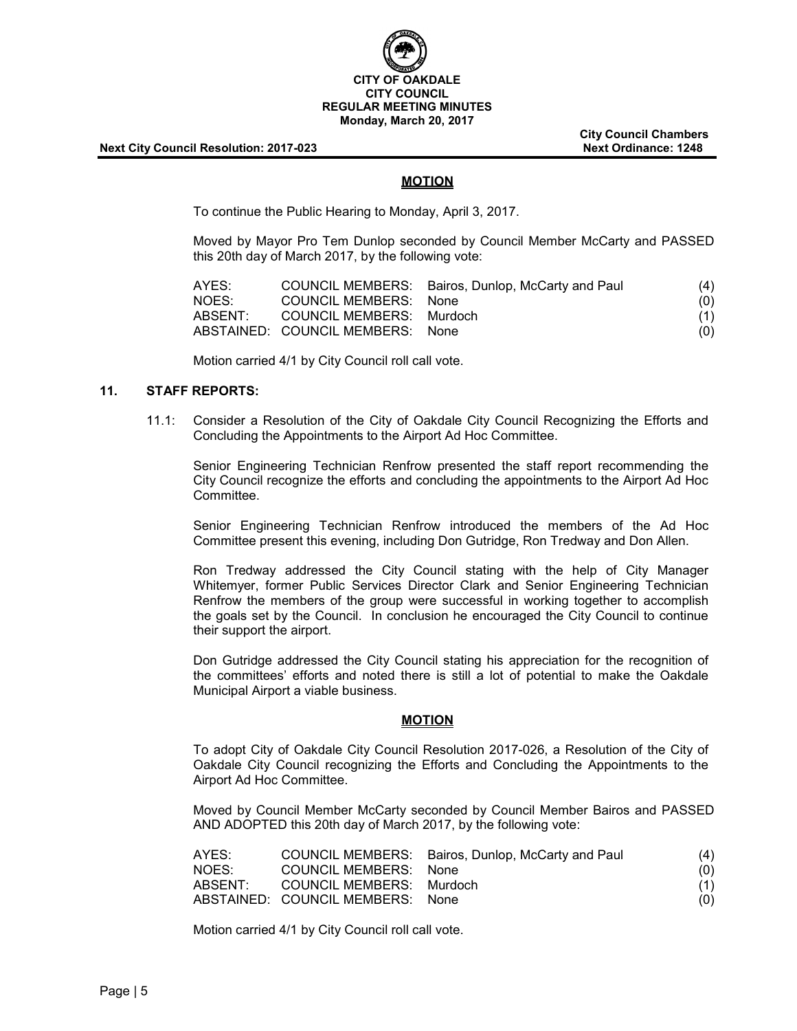

**City Council Chambers**

## **MOTION**

To continue the Public Hearing to Monday, April 3, 2017.

Moved by Mayor Pro Tem Dunlop seconded by Council Member McCarty and PASSED this 20th day of March 2017, by the following vote:

| AYES:   |                                  | COUNCIL MEMBERS: Bairos, Dunlop, McCarty and Paul | (4) |
|---------|----------------------------------|---------------------------------------------------|-----|
| NOES:   | <b>COUNCIL MEMBERS: None</b>     |                                                   | (0) |
| ABSENT: | COUNCIL MEMBERS: Murdoch         |                                                   | (1) |
|         | ABSTAINED: COUNCIL MEMBERS: None |                                                   | (0) |

Motion carried 4/1 by City Council roll call vote.

## **11. STAFF REPORTS:**

11.1: Consider a Resolution of the City of Oakdale City Council Recognizing the Efforts and Concluding the Appointments to the Airport Ad Hoc Committee.

Senior Engineering Technician Renfrow presented the staff report recommending the City Council recognize the efforts and concluding the appointments to the Airport Ad Hoc Committee.

Senior Engineering Technician Renfrow introduced the members of the Ad Hoc Committee present this evening, including Don Gutridge, Ron Tredway and Don Allen.

Ron Tredway addressed the City Council stating with the help of City Manager Whitemyer, former Public Services Director Clark and Senior Engineering Technician Renfrow the members of the group were successful in working together to accomplish the goals set by the Council. In conclusion he encouraged the City Council to continue their support the airport.

Don Gutridge addressed the City Council stating his appreciation for the recognition of the committees' efforts and noted there is still a lot of potential to make the Oakdale Municipal Airport a viable business.

## **MOTION**

To adopt City of Oakdale City Council Resolution 2017-026, a Resolution of the City of Oakdale City Council recognizing the Efforts and Concluding the Appointments to the Airport Ad Hoc Committee.

Moved by Council Member McCarty seconded by Council Member Bairos and PASSED AND ADOPTED this 20th day of March 2017, by the following vote:

| AYES:   |                                  | COUNCIL MEMBERS: Bairos, Dunlop, McCarty and Paul | (4) |
|---------|----------------------------------|---------------------------------------------------|-----|
| NOES:   | COUNCIL MEMBERS: None            |                                                   | (0) |
| ABSENT: | COUNCIL MEMBERS: Murdoch         |                                                   | (1) |
|         | ABSTAINED: COUNCIL MEMBERS: None |                                                   | (0) |

Motion carried 4/1 by City Council roll call vote.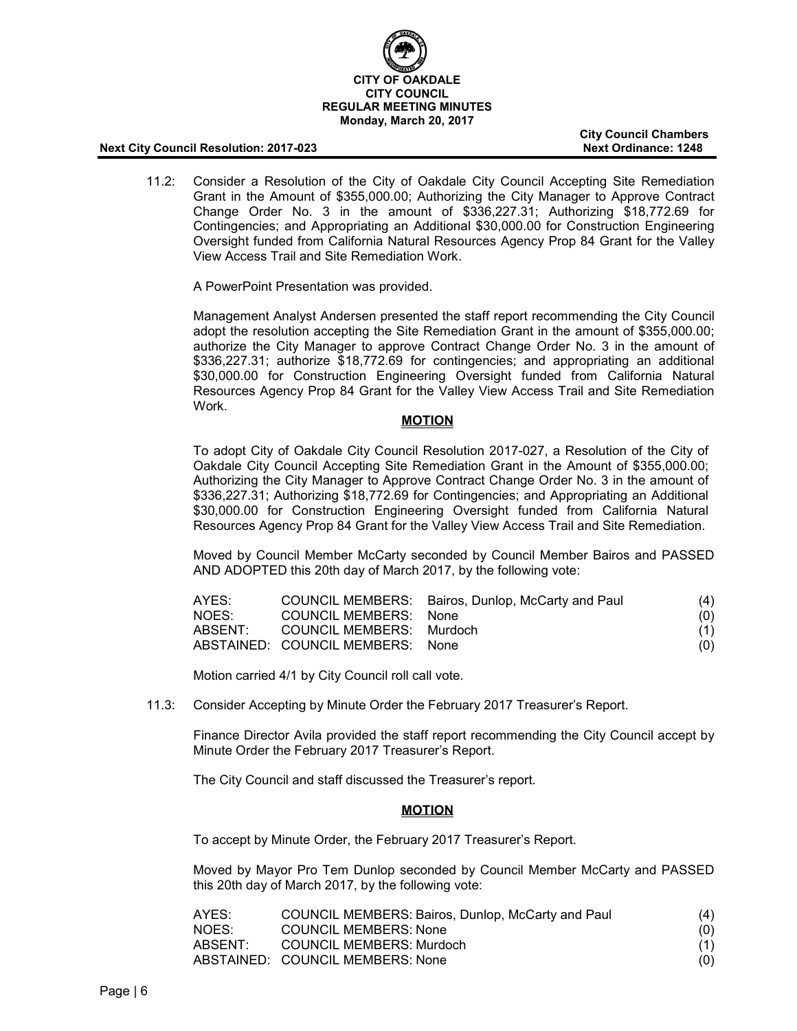

**City Council Chambers**

11.2: Consider a Resolution of the City of Oakdale City Council Accepting Site Remediation Grant in the Amount of \$355,000.00; Authorizing the City Manager to Approve Contract Change Order No. 3 in the amount of \$336,227.31; Authorizing \$18,772.69 for Contingencies; and Appropriating an Additional \$30,000.00 for Construction Engineering Oversight funded from California Natural Resources Agency Prop 84 Grant for the Valley View Access Trail and Site Remediation Work.

A PowerPoint Presentation was provided.

Management Analyst Andersen presented the staff report recommending the City Council adopt the resolution accepting the Site Remediation Grant in the amount of \$355,000.00; authorize the City Manager to approve Contract Change Order No. 3 in the amount of \$336,227.31; authorize \$18,772.69 for contingencies; and appropriating an additional \$30,000.00 for Construction Engineering Oversight funded from California Natural Resources Agency Prop 84 Grant for the Valley View Access Trail and Site Remediation Work.

## **MOTION**

To adopt City of Oakdale City Council Resolution 2017-027, a Resolution of the City of Oakdale City Council Accepting Site Remediation Grant in the Amount of \$355,000.00; Authorizing the City Manager to Approve Contract Change Order No. 3 in the amount of \$336,227.31; Authorizing \$18,772.69 for Contingencies; and Appropriating an Additional \$30,000.00 for Construction Engineering Oversight funded from California Natural Resources Agency Prop 84 Grant for the Valley View Access Trail and Site Remediation.

Moved by Council Member McCarty seconded by Council Member Bairos and PASSED AND ADOPTED this 20th day of March 2017, by the following vote:

| AYES:   |                                  | COUNCIL MEMBERS: Bairos, Dunlop, McCarty and Paul | (4) |
|---------|----------------------------------|---------------------------------------------------|-----|
| NOES:   | <b>COUNCIL MEMBERS: None</b>     |                                                   | (0) |
| ABSENT: | COUNCIL MEMBERS: Murdoch         |                                                   | (1) |
|         | ABSTAINED: COUNCIL MEMBERS: None |                                                   | (0) |

Motion carried 4/1 by City Council roll call vote.

11.3: Consider Accepting by Minute Order the February 2017 Treasurer's Report.

Finance Director Avila provided the staff report recommending the City Council accept by Minute Order the February 2017 Treasurer's Report.

The City Council and staff discussed the Treasurer's report.

## **MOTION**

To accept by Minute Order, the February 2017 Treasurer's Report.

Moved by Mayor Pro Tem Dunlop seconded by Council Member McCarty and PASSED this 20th day of March 2017, by the following vote:

| AYES:   | COUNCIL MEMBERS: Bairos, Dunlop, McCarty and Paul | (4) |
|---------|---------------------------------------------------|-----|
| NOES:   | COUNCIL MEMBERS: None                             | (0) |
| ABSENT: | COUNCIL MEMBERS: Murdoch                          | (1) |
|         | ABSTAINED: COUNCIL MEMBERS: None                  | (0) |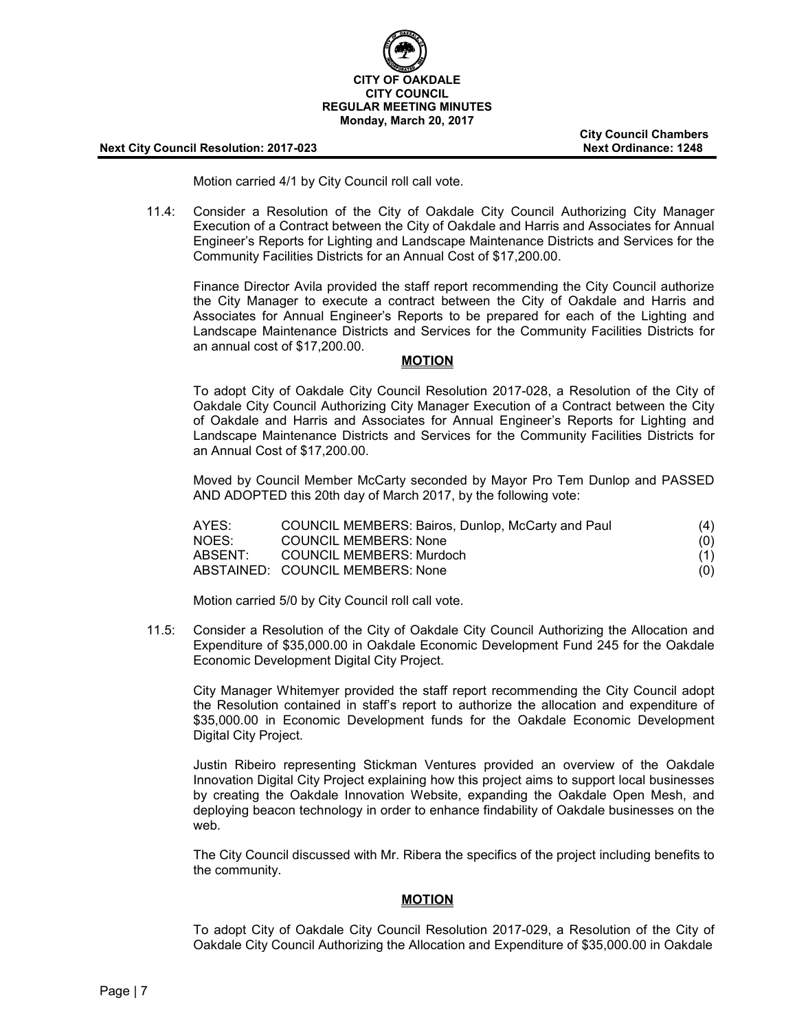

**City Council Chambers**

Motion carried 4/1 by City Council roll call vote.

11.4: Consider a Resolution of the City of Oakdale City Council Authorizing City Manager Execution of a Contract between the City of Oakdale and Harris and Associates for Annual Engineer's Reports for Lighting and Landscape Maintenance Districts and Services for the Community Facilities Districts for an Annual Cost of \$17,200.00.

Finance Director Avila provided the staff report recommending the City Council authorize the City Manager to execute a contract between the City of Oakdale and Harris and Associates for Annual Engineer's Reports to be prepared for each of the Lighting and Landscape Maintenance Districts and Services for the Community Facilities Districts for an annual cost of \$17,200.00.

#### **MOTION**

To adopt City of Oakdale City Council Resolution 2017-028, a Resolution of the City of Oakdale City Council Authorizing City Manager Execution of a Contract between the City of Oakdale and Harris and Associates for Annual Engineer's Reports for Lighting and Landscape Maintenance Districts and Services for the Community Facilities Districts for an Annual Cost of \$17,200.00.

Moved by Council Member McCarty seconded by Mayor Pro Tem Dunlop and PASSED AND ADOPTED this 20th day of March 2017, by the following vote:

| AYES:   | COUNCIL MEMBERS: Bairos, Dunlop, McCarty and Paul | (4) |
|---------|---------------------------------------------------|-----|
| NOES:   | <b>COUNCIL MEMBERS: None</b>                      | (0) |
| ABSENT: | COUNCIL MEMBERS: Murdoch                          | (1) |
|         | ABSTAINED: COUNCIL MEMBERS: None                  | (0) |

Motion carried 5/0 by City Council roll call vote.

11.5: Consider a Resolution of the City of Oakdale City Council Authorizing the Allocation and Expenditure of \$35,000.00 in Oakdale Economic Development Fund 245 for the Oakdale Economic Development Digital City Project.

City Manager Whitemyer provided the staff report recommending the City Council adopt the Resolution contained in staff's report to authorize the allocation and expenditure of \$35,000.00 in Economic Development funds for the Oakdale Economic Development Digital City Project.

Justin Ribeiro representing Stickman Ventures provided an overview of the Oakdale Innovation Digital City Project explaining how this project aims to support local businesses by creating the Oakdale Innovation Website, expanding the Oakdale Open Mesh, and deploying beacon technology in order to enhance findability of Oakdale businesses on the web.

The City Council discussed with Mr. Ribera the specifics of the project including benefits to the community.

#### **MOTION**

To adopt City of Oakdale City Council Resolution 2017-029, a Resolution of the City of Oakdale City Council Authorizing the Allocation and Expenditure of \$35,000.00 in Oakdale